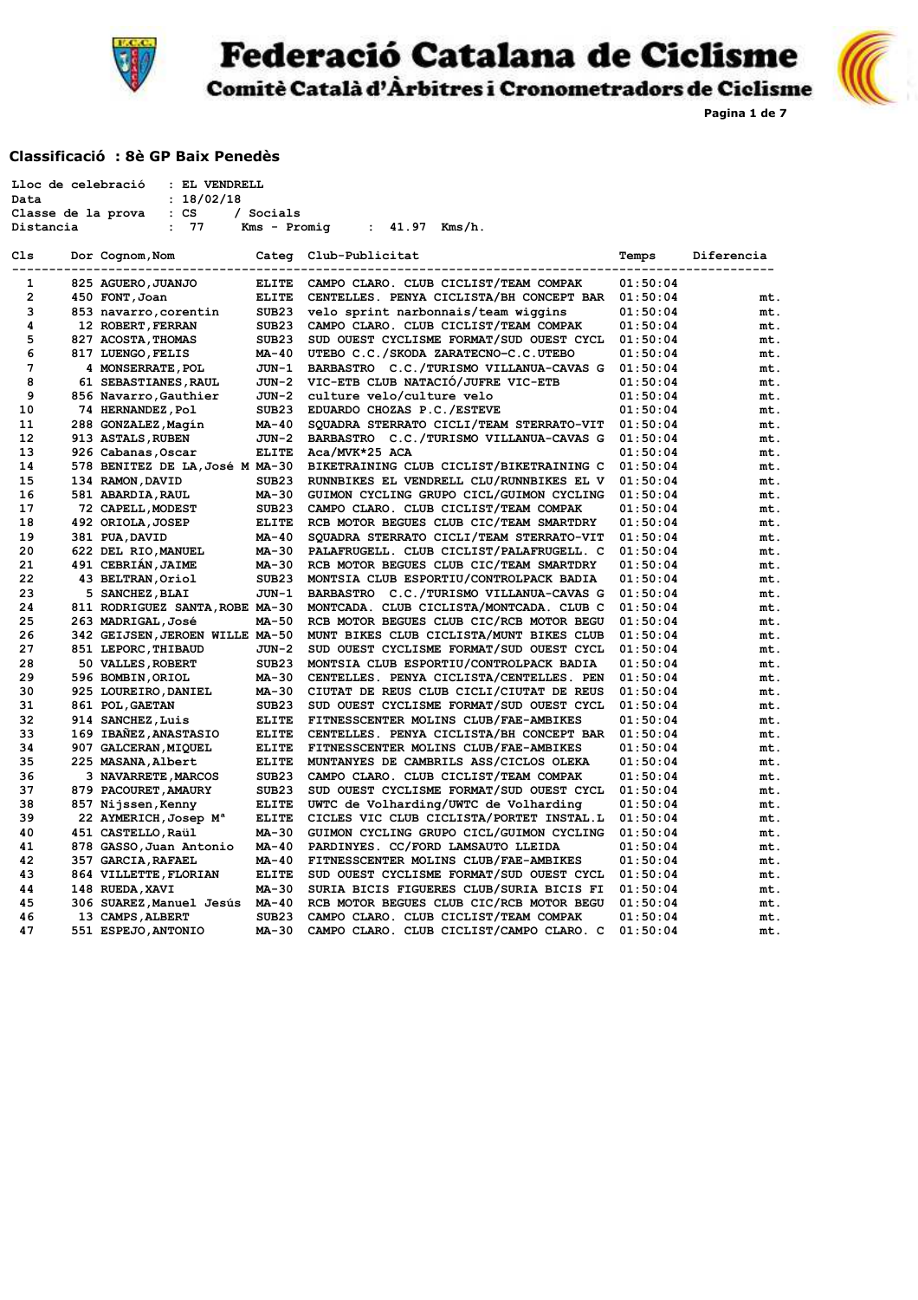

Federació Catalana de Ciclisme



**Pagina 1 de 7**

Comitè Català d'Àrbitres i Cronometradors de Ciclisme

#### **Classificació : 8è GP Baix Penedès**

|                | Lloc de celebració<br>: EL VENDRELL   |                   |                                          |          |            |
|----------------|---------------------------------------|-------------------|------------------------------------------|----------|------------|
| Data           | : 18/02/18                            |                   |                                          |          |            |
|                | $: \mathsf{CS}$<br>Classe de la prova | / Socials         |                                          |          |            |
| Distancia      | 77<br>$\ddot{\phantom{a}}$            | Kms - Promig      | : $41.97$ Kms/h.                         |          |            |
|                |                                       |                   |                                          |          |            |
| Cls            | Dor Cognom, Nom                       |                   | Categ Club-Publicitat                    | Temps    | Diferencia |
| $\mathbf{1}$   | 825 AGUERO, JUANJO                    | <b>ELITE</b>      | CAMPO CLARO. CLUB CICLIST/TEAM COMPAK    | 01:50:04 |            |
| $\overline{2}$ | 450 FONT, Joan                        | <b>ELITE</b>      | CENTELLES. PENYA CICLISTA/BH CONCEPT BAR | 01:50:04 | mt.        |
| 3              | 853 navarro, corentin                 | SUB <sub>23</sub> | velo sprint narbonnais/team wiggins      | 01:50:04 | mt.        |
| 4              | 12 ROBERT, FERRAN                     | SUB <sub>23</sub> | CAMPO CLARO. CLUB CICLIST/TEAM COMPAK    | 01:50:04 | mt.        |
| 5              | 827 ACOSTA, THOMAS                    | SUB <sub>23</sub> | SUD OUEST CYCLISME FORMAT/SUD OUEST CYCL | 01:50:04 | mt.        |
| 6              | 817 LUENGO, FELIS                     | MA-40             | UTEBO C.C./SKODA ZARATECNO-C.C.UTEBO     | 01:50:04 | mt.        |
| 7              | 4 MONSERRATE, POL                     | JUN-1             | BARBASTRO C.C./TURISMO VILLANUA-CAVAS G  | 01:50:04 | mt.        |
| 8              | 61 SEBASTIANES, RAUL                  | JUN-2             | VIC-ETB CLUB NATACIÓ/JUFRE VIC-ETB       | 01:50:04 | mt.        |
| 9              | 856 Navarro, Gauthier                 | JUN-2             | culture velo/culture velo                | 01:50:04 | mt.        |
| 10             | 74 HERNANDEZ, Pol                     | SUB <sub>23</sub> | EDUARDO CHOZAS P.C./ESTEVE               | 01:50:04 | mt.        |
| 11             | 288 GONZALEZ, Magin                   | MA-40             | SQUADRA STERRATO CICLI/TEAM STERRATO-VIT | 01:50:04 | mt.        |
| 12             | 913 ASTALS, RUBEN                     | JUN-2             | BARBASTRO C.C./TURISMO VILLANUA-CAVAS G  | 01:50:04 | mt.        |
| 13             | 926 Cabanas, Oscar                    | <b>ELITE</b>      | Aca/MVK*25 ACA                           | 01:50:04 | mt.        |
| 14             | 578 BENITEZ DE LA, José M MA-30       |                   | BIKETRAINING CLUB CICLIST/BIKETRAINING C | 01:50:04 | mt.        |
| 15             | 134 RAMON, DAVID                      | SUB <sub>23</sub> | RUNNBIKES EL VENDRELL CLU/RUNNBIKES EL V | 01:50:04 | mt.        |
| 16             | 581 ABARDIA, RAUL                     | MA-30             | GUIMON CYCLING GRUPO CICL/GUIMON CYCLING | 01:50:04 | mt.        |
| 17             | 72 CAPELL, MODEST                     | SUB <sub>23</sub> | CAMPO CLARO. CLUB CICLIST/TEAM COMPAK    | 01:50:04 | mt.        |
| 18             | 492 ORIOLA, JOSEP                     | <b>ELITE</b>      | RCB MOTOR BEGUES CLUB CIC/TEAM SMARTDRY  | 01:50:04 | mt.        |
| 19             | 381 PUA, DAVID                        | MA-40             | SQUADRA STERRATO CICLI/TEAM STERRATO-VIT | 01:50:04 | mt.        |
| 20             | 622 DEL RIO, MANUEL                   | MA-30             | PALAFRUGELL. CLUB CICLIST/PALAFRUGELL. C | 01:50:04 | mt.        |
| 21             | 491 CEBRIAN, JAIME                    | MA-30             | RCB MOTOR BEGUES CLUB CIC/TEAM SMARTDRY  | 01:50:04 | mt.        |
| 22             | 43 BELTRAN, Oriol                     | SUB <sub>23</sub> | MONTSIA CLUB ESPORTIU/CONTROLPACK BADIA  | 01:50:04 | mt.        |
| 23             | 5 SANCHEZ, BLAI                       | JUN-1             | BARBASTRO C.C./TURISMO VILLANUA-CAVAS G  | 01:50:04 | mt.        |
| 24             | 811 RODRIGUEZ SANTA, ROBE MA-30       |                   | MONTCADA. CLUB CICLISTA/MONTCADA. CLUB C | 01:50:04 | mt.        |
| 25             | 263 MADRIGAL, José                    | MA-50             | RCB MOTOR BEGUES CLUB CIC/RCB MOTOR BEGU | 01:50:04 | mt.        |
| 26             | 342 GEIJSEN, JEROEN WILLE MA-50       |                   | MUNT BIKES CLUB CICLISTA/MUNT BIKES CLUB | 01:50:04 | mt.        |
| 27             | 851 LEPORC, THIBAUD                   | JUN-2             | SUD OUEST CYCLISME FORMAT/SUD OUEST CYCL | 01:50:04 | mt.        |
| 28             | 50 VALLES, ROBERT                     | SUB <sub>23</sub> | MONTSIA CLUB ESPORTIU/CONTROLPACK BADIA  | 01:50:04 | mt.        |
| 29             | 596 BOMBIN, ORIOL                     | MA-30             | CENTELLES. PENYA CICLISTA/CENTELLES. PEN | 01:50:04 | mt.        |
| 30             | 925 LOUREIRO, DANIEL                  | MA-30             | CIUTAT DE REUS CLUB CICLI/CIUTAT DE REUS | 01:50:04 | mt.        |
| 31             | 861 POL, GAETAN                       | SUB <sub>23</sub> | SUD OUEST CYCLISME FORMAT/SUD OUEST CYCL | 01:50:04 | mt.        |
| 32             | 914 SANCHEZ, Luis                     | <b>ELITE</b>      | FITNESSCENTER MOLINS CLUB/FAE-AMBIKES    | 01:50:04 | mt.        |
| 33             | 169 IBAÑEZ, ANASTASIO                 | <b>ELITE</b>      | CENTELLES. PENYA CICLISTA/BH CONCEPT BAR | 01:50:04 | mt.        |
| 34             | 907 GALCERAN, MIQUEL                  | <b>ELITE</b>      | FITNESSCENTER MOLINS CLUB/FAE-AMBIKES    | 01:50:04 | mt.        |
| 35             | 225 MASANA, Albert                    | <b>ELITE</b>      | MUNTANYES DE CAMBRILS ASS/CICLOS OLEKA   | 01:50:04 | mt.        |
| 36             | 3 NAVARRETE, MARCOS                   | SUB23             | CAMPO CLARO. CLUB CICLIST/TEAM COMPAK    | 01:50:04 | mt.        |
| 37             | 879 PACOURET, AMAURY                  | SUB <sub>23</sub> | SUD OUEST CYCLISME FORMAT/SUD OUEST CYCL | 01:50:04 | mt.        |
| 38             | 857 Nijssen, Kenny                    | <b>ELITE</b>      | UWTC de Volharding/UWTC de Volharding    | 01:50:04 | mt.        |
| 39             | 22 AYMERICH, Josep M <sup>a</sup>     | <b>ELITE</b>      | CICLES VIC CLUB CICLISTA/PORTET INSTAL.L | 01:50:04 | mt.        |
| 40             | 451 CASTELLO, Raül                    | MA-30             | GUIMON CYCLING GRUPO CICL/GUIMON CYCLING | 01:50:04 | mt.        |
| 41             | 878 GASSO, Juan Antonio               | MA-40             | PARDINYES. CC/FORD LAMSAUTO LLEIDA       | 01:50:04 | mt.        |
| 42             | 357 GARCIA, RAFAEL                    | MA-40             | FITNESSCENTER MOLINS CLUB/FAE-AMBIKES    | 01:50:04 | mt.        |
| 43             | 864 VILLETTE, FLORIAN                 | <b>ELITE</b>      | SUD OUEST CYCLISME FORMAT/SUD OUEST CYCL | 01:50:04 | mt.        |
| 44             | 148 RUEDA, XAVI                       | MA-30             | SURIA BICIS FIGUERES CLUB/SURIA BICIS FI | 01:50:04 | mt.        |
| 45             | 306 SUAREZ, Manuel Jesús              | MA-40             | RCB MOTOR BEGUES CLUB CIC/RCB MOTOR BEGU | 01:50:04 | mt.        |
| 46             | 13 CAMPS, ALBERT                      | SUB <sub>23</sub> | CAMPO CLARO. CLUB CICLIST/TEAM COMPAK    | 01:50:04 | mt.        |
| 47             | 551 ESPEJO, ANTONIO                   | MA-30             | CAMPO CLARO. CLUB CICLIST/CAMPO CLARO. C | 01:50:04 | mt.        |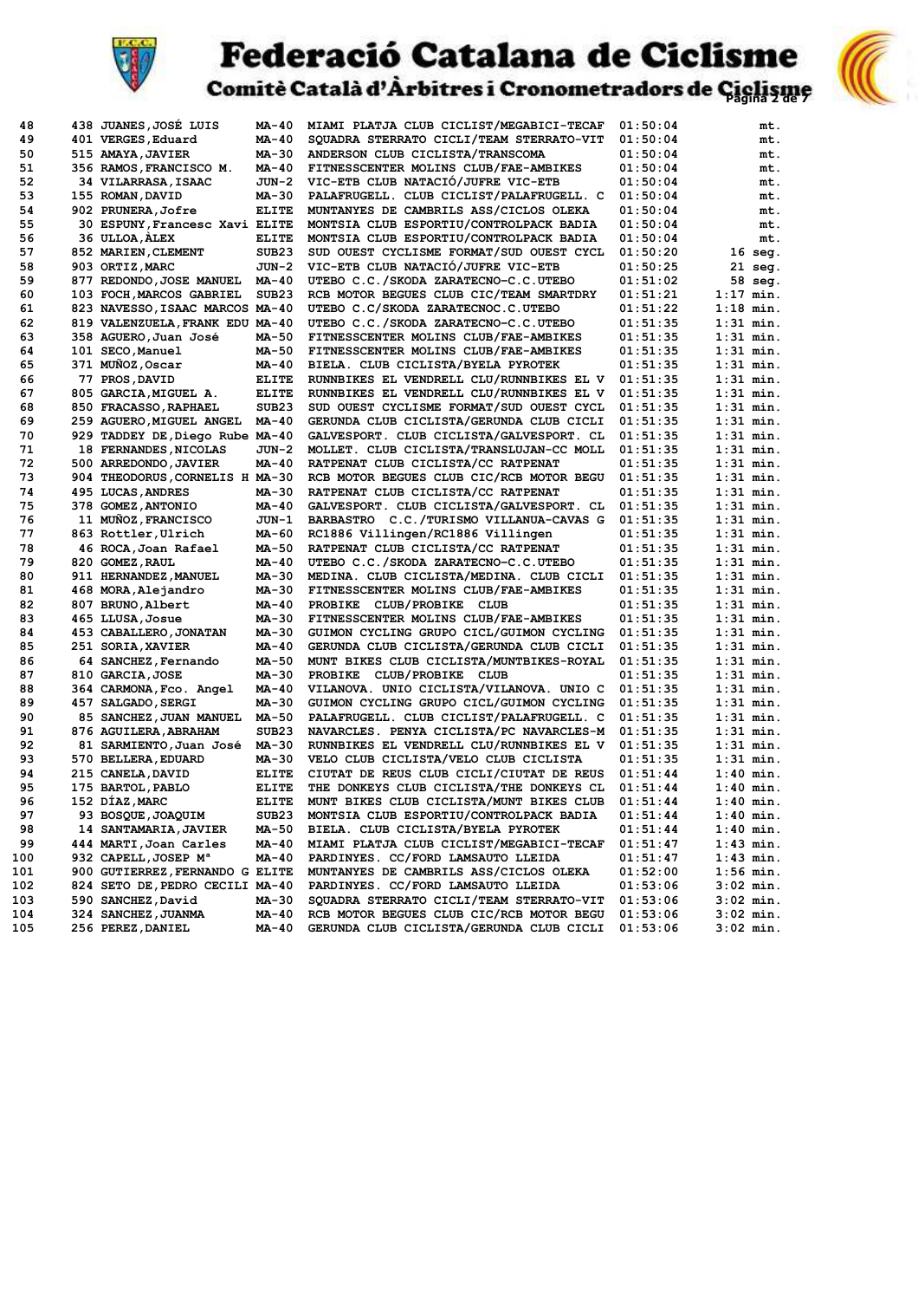

# **Federació Catalana de Ciclisme**<br>Comitè Català d'Àrbitres i Cronometradors de Giglisme



| 48  | 438 JUANES, JOSE LUIS            | MA-40             | MIAMI PLATJA CLUB CICLIST/MEGABICI-TECAF                                       | 01:50:04 | mt.         |
|-----|----------------------------------|-------------------|--------------------------------------------------------------------------------|----------|-------------|
| 49  | 401 VERGES, Eduard               | MA-40             | SQUADRA STERRATO CICLI/TEAM STERRATO-VIT                                       | 01:50:04 | mt.         |
| 50  | 515 AMAYA, JAVIER                | MA-30             | ANDERSON CLUB CICLISTA/TRANSCOMA                                               | 01:50:04 | mt.         |
| 51  | 356 RAMOS, FRANCISCO M.          | MA-40             | FITNESSCENTER MOLINS CLUB/FAE-AMBIKES                                          | 01:50:04 | mt.         |
| 52  | 34 VILARRASA, ISAAC              | JUN-2             | VIC-ETB CLUB NATACIÓ/JUFRE VIC-ETB                                             | 01:50:04 | mt.         |
| 53  | 155 ROMAN, DAVID                 | MA-30             | PALAFRUGELL. CLUB CICLIST/PALAFRUGELL. C                                       | 01:50:04 | mt.         |
| 54  | 902 PRUNERA,Jofre                | <b>ELITE</b>      | MUNTANYES DE CAMBRILS ASS/CICLOS OLEKA                                         | 01:50:04 | mt.         |
| 55  | 30 ESPUNY, Francesc Xavi ELITE   |                   | MONTSIA CLUB ESPORTIU/CONTROLPACK BADIA                                        | 01:50:04 | mt.         |
| 56  | 36 ULLOA, ALEX                   | <b>ELITE</b>      | MONTSIA CLUB ESPORTIU/CONTROLPACK BADIA                                        | 01:50:04 | mt.         |
| 57  | 852 MARIEN, CLEMENT              | SUB <sub>23</sub> | SUD OUEST CYCLISME FORMAT/SUD OUEST CYCL                                       | 01:50:20 | $16$ seg.   |
| 58  | 903 ORTIZ, MARC                  | JUN-2             | VIC-ETB CLUB NATACIÓ/JUFRE VIC-ETB                                             | 01:50:25 | $21$ seg.   |
| 59  | 877 REDONDO, JOSE MANUEL         | MA-40             | UTEBO C.C./SKODA ZARATECNO-C.C.UTEBO                                           | 01:51:02 | 58 seg.     |
| 60  | 103 FOCH, MARCOS GABRIEL         | SUB <sub>23</sub> | RCB MOTOR BEGUES CLUB CIC/TEAM SMARTDRY                                        | 01:51:21 | 1:17 min.   |
| 61  | 823 NAVESSO, ISAAC MARCOS MA-40  |                   | UTEBO C.C/SKODA ZARATECNOC.C.UTEBO                                             | 01:51:22 | $1:18$ min. |
| 62  | 819 VALENZUELA, FRANK EDU MA-40  |                   | UTEBO C.C./SKODA ZARATECNO-C.C.UTEBO                                           | 01:51:35 | 1:31 min.   |
| 63  | 358 AGUERO, Juan José            | MA-50             | FITNESSCENTER MOLINS CLUB/FAE-AMBIKES                                          | 01:51:35 | $1:31$ min. |
| 64  | 101 SECO, Manuel                 | MA-50             | FITNESSCENTER MOLINS CLUB/FAE-AMBIKES                                          | 01:51:35 | $1:31$ min. |
| 65  | 371 MUÑOZ, Oscar                 | MA-40             | BIELA. CLUB CICLISTA/BYELA PYROTEK                                             | 01:51:35 | 1:31 min.   |
| 66  | 77 PROS, DAVID                   | <b>ELITE</b>      | RUNNBIKES EL VENDRELL CLU/RUNNBIKES EL V                                       | 01:51:35 | 1:31 min.   |
| 67  | 805 GARCIA, MIGUEL A.            | <b>ELITE</b>      | RUNNBIKES EL VENDRELL CLU/RUNNBIKES EL V                                       | 01:51:35 | 1:31 min.   |
| 68  | 850 FRACASSO, RAPHAEL            | SUB <sub>23</sub> | SUD OUEST CYCLISME FORMAT/SUD OUEST CYCL                                       | 01:51:35 | 1:31 min.   |
| 69  | 259 AGUERO, MIGUEL ANGEL         | MA-40             | GERUNDA CLUB CICLISTA/GERUNDA CLUB CICLI                                       | 01:51:35 | 1:31 min.   |
| 70  | 929 TADDEY DE, Diego Rube MA-40  |                   | GALVESPORT. CLUB CICLISTA/GALVESPORT. CL                                       | 01:51:35 | 1:31 min.   |
| 71  | 18 FERNANDES, NICOLAS            |                   |                                                                                |          | $1:31$ min. |
| 72  |                                  | JUN-2             | MOLLET. CLUB CICLISTA/TRANSLUJAN-CC MOLL<br>RATPENAT CLUB CICLISTA/CC RATPENAT | 01:51:35 | $1:31$ min. |
| 73  | 500 ARREDONDO, JAVIER            | MA-40             |                                                                                | 01:51:35 |             |
|     | 904 THEODORUS, CORNELIS H MA-30  |                   | RCB MOTOR BEGUES CLUB CIC/RCB MOTOR BEGU                                       | 01:51:35 | 1:31 min.   |
| 74  | 495 LUCAS, ANDRES                | MA-30             | RATPENAT CLUB CICLISTA/CC RATPENAT                                             | 01:51:35 | $1:31$ min. |
| 75  | 378 GOMEZ, ANTONIO               | MA-40             | GALVESPORT. CLUB CICLISTA/GALVESPORT. CL                                       | 01:51:35 | 1:31 min.   |
| 76  | 11 MUNOZ, FRANCISCO              | $JUN-1$           | BARBASTRO C.C./TURISMO VILLANUA-CAVAS G                                        | 01:51:35 | 1:31 min.   |
| 77  | 863 Rottler, Ulrich              | MA-60             | RC1886 Villingen/RC1886 Villingen                                              | 01:51:35 | $1:31$ min. |
| 78  | 46 ROCA, Joan Rafael             | MA-50             | RATPENAT CLUB CICLISTA/CC RATPENAT                                             | 01:51:35 | $1:31$ min. |
| 79  | 820 GOMEZ, RAUL                  | MA-40             | UTEBO C.C./SKODA ZARATECNO-C.C.UTEBO                                           | 01:51:35 | 1:31 min.   |
| 80  | 911 HERNANDEZ, MANUEL            | MA-30             | MEDINA. CLUB CICLISTA/MEDINA. CLUB CICLI                                       | 01:51:35 | 1:31 min.   |
| 81  | 468 MORA, Alejandro              | MA-30             | FITNESSCENTER MOLINS CLUB/FAE-AMBIKES                                          | 01:51:35 | $1:31$ min. |
| 82  | 807 BRUNO, Albert                | MA-40             | <b>PROBIKE</b><br><b>CLUB/PROBIKE</b><br>CLUB                                  | 01:51:35 | 1:31 min.   |
| 83  | 465 LLUSA, Josue                 | MA-30             | FITNESSCENTER MOLINS CLUB/FAE-AMBIKES                                          | 01:51:35 | $1:31$ min. |
| 84  | 453 CABALLERO, JONATAN           | MA-30             | GUIMON CYCLING GRUPO CICL/GUIMON CYCLING                                       | 01:51:35 | 1:31 min.   |
| 85  | 251 SORIA, XAVIER                | MA-40             | GERUNDA CLUB CICLISTA/GERUNDA CLUB CICLI                                       | 01:51:35 | $1:31$ min. |
| 86  | 64 SANCHEZ, Fernando             | MA-50             | MUNT BIKES CLUB CICLISTA/MUNTBIKES-ROYAL                                       | 01:51:35 | 1:31 min.   |
| 87  | 810 GARCIA, JOSE                 | MA-30             | CLUB/PROBIKE CLUB<br><b>PROBIKE</b>                                            | 01:51:35 | $1:31$ min. |
| 88  | 364 CARMONA, Fco. Angel          | MA-40             | VILANOVA. UNIO CICLISTA/VILANOVA. UNIO C                                       | 01:51:35 | $1:31$ min. |
| 89  | 457 SALGADO, SERGI               | MA-30             | GUIMON CYCLING GRUPO CICL/GUIMON CYCLING                                       | 01:51:35 | $1:31$ min. |
| 90  | 85 SANCHEZ, JUAN MANUEL          | MA-50             | PALAFRUGELL. CLUB CICLIST/PALAFRUGELL. C                                       | 01:51:35 | 1:31 min.   |
| 91  | 876 AGUILERA, ABRAHAM            | SUB <sub>23</sub> | NAVARCLES. PENYA CICLISTA/PC NAVARCLES-M                                       | 01:51:35 | 1:31 min.   |
| 92  | 81 SARMIENTO, Juan José          | MA-30             | RUNNBIKES EL VENDRELL CLU/RUNNBIKES EL V                                       | 01:51:35 | 1:31 min.   |
| 93  | 570 BELLERA, EDUARD              | MA-30             | VELO CLUB CICLISTA/VELO CLUB CICLISTA                                          | 01:51:35 | 1:31 min.   |
| 94  | 215 CANELA, DAVID                | <b>ELITE</b>      | CIUTAT DE REUS CLUB CICLI/CIUTAT DE REUS                                       | 01:51:44 | $1:40$ min. |
| 95  | 175 BARTOL, PABLO                | <b>ELITE</b>      | THE DONKEYS CLUB CICLISTA/THE DONKEYS CL                                       | 01:51:44 | $1:40$ min. |
| 96  | 152 DÍAZ, MARC                   | <b>ELITE</b>      | MUNT BIKES CLUB CICLISTA/MUNT BIKES CLUB                                       | 01:51:44 | $1:40$ min. |
| 97  | 93 BOSQUE, JOAQUIM               | SUB23             | MONTSIA CLUB ESPORTIU/CONTROLPACK BADIA                                        | 01:51:44 | 1:40 min.   |
| 98  | 14 SANTAMARIA, JAVIER            | MA-50             | BIELA. CLUB CICLISTA/BYELA PYROTEK                                             | 01:51:44 | 1:40 min.   |
| 99  | 444 MARTI, Joan Carles           | MA-40             | MIAMI PLATJA CLUB CICLIST/MEGABICI-TECAF                                       | 01:51:47 | $1:43$ min. |
| 100 | 932 CAPELL, JOSEP M <sup>a</sup> | MA-40             | PARDINYES. CC/FORD LAMSAUTO LLEIDA                                             | 01:51:47 | 1:43 min.   |
| 101 | 900 GUTIERREZ, FERNANDO G ELITE  |                   | MUNTANYES DE CAMBRILS ASS/CICLOS OLEKA                                         | 01:52:00 | 1:56 min.   |
| 102 | 824 SETO DE, PEDRO CECILI MA-40  |                   | PARDINYES. CC/FORD LAMSAUTO LLEIDA                                             | 01:53:06 | $3:02$ min. |
| 103 | 590 SANCHEZ, David               | MA-30             | SQUADRA STERRATO CICLI/TEAM STERRATO-VIT                                       | 01:53:06 | $3:02$ min. |
| 104 | 324 SANCHEZ, JUANMA              | MA-40             | RCB MOTOR BEGUES CLUB CIC/RCB MOTOR BEGU                                       | 01:53:06 | 3:02 min.   |
| 105 | 256 PEREZ, DANIEL                | MA-40             | GERUNDA CLUB CICLISTA/GERUNDA CLUB CICLI                                       | 01:53:06 | $3:02$ min. |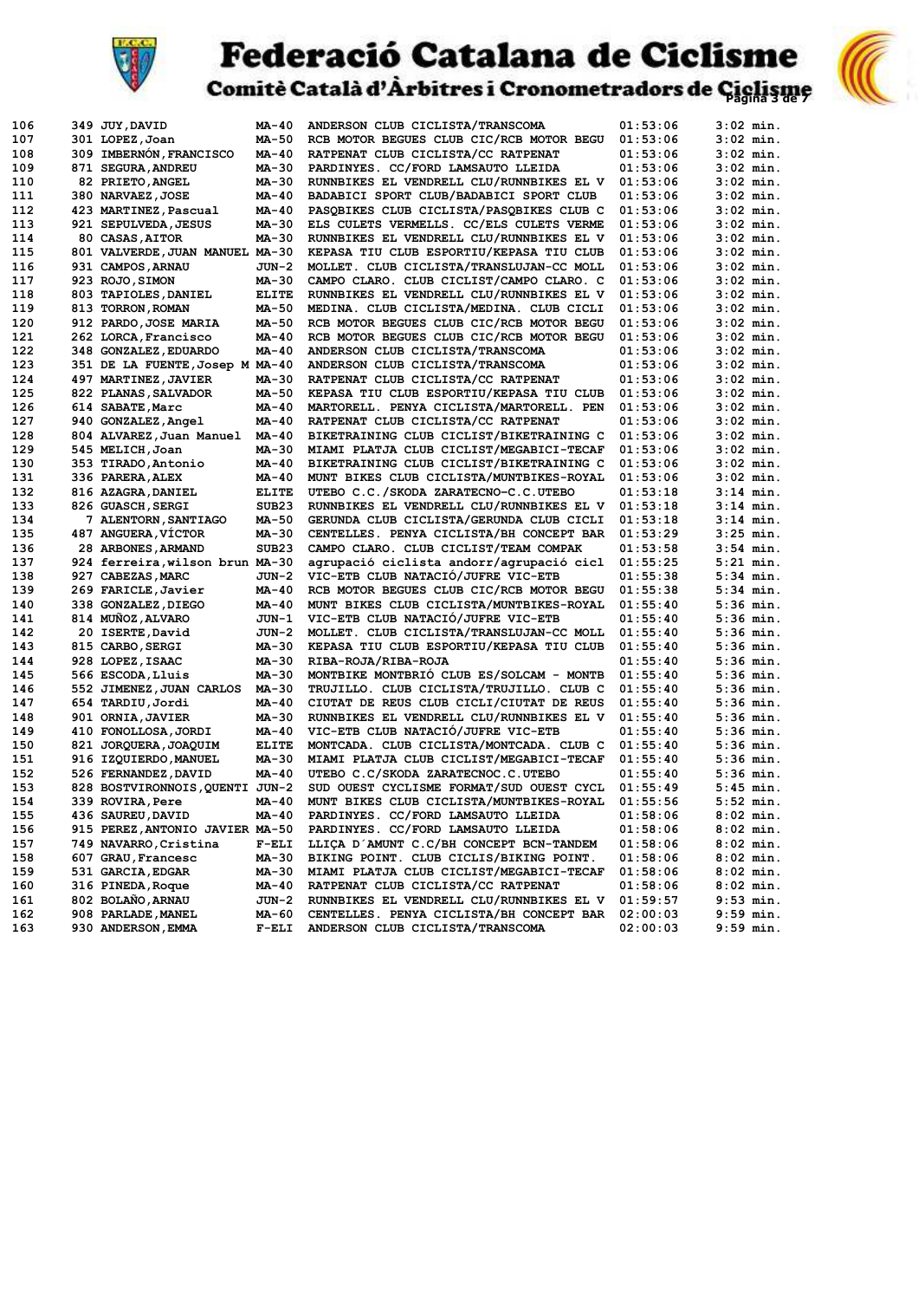

# **Federació Catalana de Ciclisme**<br>Comitè Català d'Àrbitres i Cronometradors de Ciglisme



|     |                                        | MA-40             |                                          | 01:53:06 |                            |
|-----|----------------------------------------|-------------------|------------------------------------------|----------|----------------------------|
| 106 | 349 JUY, DAVID                         | MA-50             | ANDERSON CLUB CICLISTA/TRANSCOMA         |          | $3:02$ min.<br>$3:02$ min. |
| 107 | 301 LOPEZ, Joan                        |                   | RCB MOTOR BEGUES CLUB CIC/RCB MOTOR BEGU | 01:53:06 |                            |
| 108 | <b>309 IMBERNÓN, FRANCISCO</b>         | MA-40             | RATPENAT CLUB CICLISTA/CC RATPENAT       | 01:53:06 | $3:02$ min.                |
| 109 | 871 SEGURA, ANDREU                     | MA-30             | PARDINYES. CC/FORD LAMSAUTO LLEIDA       | 01:53:06 | $3:02$ min.                |
| 110 | 82 PRIETO, ANGEL                       | MA-30             | RUNNBIKES EL VENDRELL CLU/RUNNBIKES EL V | 01:53:06 | $3:02$ min.                |
| 111 | 380 NARVAEZ, JOSE                      | MA-40             | BADABICI SPORT CLUB/BADABICI SPORT CLUB  | 01:53:06 | $3:02$ min.                |
| 112 | 423 MARTINEZ, Pascual                  | MA-40             | PASQBIKES CLUB CICLISTA/PASQBIKES CLUB C | 01:53:06 | $3:02$ min.                |
| 113 | 921 SEPULVEDA, JESUS                   | MA-30             | ELS CULETS VERMELLS. CC/ELS CULETS VERME | 01:53:06 | $3:02$ min.                |
| 114 | 80 CASAS, AITOR                        | MA-30             | RUNNBIKES EL VENDRELL CLU/RUNNBIKES EL V | 01:53:06 | $3:02$ min.                |
| 115 | 801 VALVERDE, JUAN MANUEL MA-30        |                   | KEPASA TIU CLUB ESPORTIU/KEPASA TIU CLUB | 01:53:06 | $3:02$ min.                |
| 116 | 931 CAMPOS, ARNAU                      | $JUN-2$           | MOLLET. CLUB CICLISTA/TRANSLUJAN-CC MOLL | 01:53:06 | $3:02$ min.                |
| 117 | 923 ROJO, SIMON                        | MA-30             | CAMPO CLARO. CLUB CICLIST/CAMPO CLARO. C | 01:53:06 | $3:02$ min.                |
| 118 | 803 TAPIOLES, DANIEL                   | <b>ELITE</b>      | RUNNBIKES EL VENDRELL CLU/RUNNBIKES EL V | 01:53:06 | $3:02$ min.                |
| 119 | 813 TORRON, ROMAN                      | MA-50             | MEDINA. CLUB CICLISTA/MEDINA. CLUB CICLI | 01:53:06 | $3:02$ min.                |
| 120 | 912 PARDO, JOSE MARIA                  | MA-50             | RCB MOTOR BEGUES CLUB CIC/RCB MOTOR BEGU | 01:53:06 | $3:02$ min.                |
| 121 | 262 LORCA, Francisco                   | MA-40             | RCB MOTOR BEGUES CLUB CIC/RCB MOTOR BEGU | 01:53:06 | $3:02$ min.                |
| 122 | 348 GONZALEZ, EDUARDO                  | MA-40             | ANDERSON CLUB CICLISTA/TRANSCOMA         | 01:53:06 | $3:02$ min.                |
|     |                                        |                   |                                          |          |                            |
| 123 | 351 DE LA FUENTE, Josep M MA-40        |                   | ANDERSON CLUB CICLISTA/TRANSCOMA         | 01:53:06 | $3:02$ min.                |
| 124 | 497 MARTINEZ, JAVIER                   | MA-30             | RATPENAT CLUB CICLISTA/CC RATPENAT       | 01:53:06 | $3:02$ min.                |
| 125 | 822 PLANAS, SALVADOR                   | MA-50             | KEPASA TIU CLUB ESPORTIU/KEPASA TIU CLUB | 01:53:06 | $3:02$ min.                |
| 126 | 614 SABATE, Marc                       | MA-40             | MARTORELL. PENYA CICLISTA/MARTORELL. PEN | 01:53:06 | $3:02$ min.                |
| 127 | 940 GONZALEZ, Angel                    | MA-40             | RATPENAT CLUB CICLISTA/CC RATPENAT       | 01:53:06 | $3:02$ min.                |
| 128 | 804 ALVAREZ, Juan Manuel               | MA-40             | BIKETRAINING CLUB CICLIST/BIKETRAINING C | 01:53:06 | $3:02$ min.                |
| 129 | 545 MELICH, Joan                       | MA-30             | MIAMI PLATJA CLUB CICLIST/MEGABICI-TECAF | 01:53:06 | $3:02$ min.                |
| 130 | 353 TIRADO, Antonio                    | MA-40             | BIKETRAINING CLUB CICLIST/BIKETRAINING C | 01:53:06 | $3:02$ min.                |
| 131 | 336 PARERA, ALEX                       | MA-40             | MUNT BIKES CLUB CICLISTA/MUNTBIKES-ROYAL | 01:53:06 | $3:02$ min.                |
| 132 | 816 AZAGRA, DANIEL                     | <b>ELITE</b>      | UTEBO C.C./SKODA ZARATECNO-C.C.UTEBO     | 01:53:18 | $3:14$ min.                |
| 133 | 826 GUASCH, SERGI                      | SUB <sub>23</sub> | RUNNBIKES EL VENDRELL CLU/RUNNBIKES EL V | 01:53:18 | $3:14$ min.                |
| 134 | 7 ALENTORN, SANTIAGO                   | MA-50             | GERUNDA CLUB CICLISTA/GERUNDA CLUB CICLI | 01:53:18 | $3:14$ min.                |
| 135 | 487 ANGUERA, VÍCTOR                    | MA-30             | CENTELLES. PENYA CICLISTA/BH CONCEPT BAR | 01:53:29 | $3:25$ min.                |
| 136 | 28 ARBONES, ARMAND                     | SUB <sub>23</sub> | CAMPO CLARO. CLUB CICLIST/TEAM COMPAK    | 01:53:58 | $3:54$ min.                |
| 137 | 924 ferreira, wilson brun MA-30        |                   | agrupació ciclista andorr/agrupació cicl | 01:55:25 | $5:21$ min.                |
| 138 | 927 CABEZAS, MARC                      | JUN-2             | VIC-ETB CLUB NATACIÓ/JUFRE VIC-ETB       | 01:55:38 | $5:34$ min.                |
| 139 | 269 FARICLE, Javier                    | MA-40             | RCB MOTOR BEGUES CLUB CIC/RCB MOTOR BEGU | 01:55:38 | $5:34$ min.                |
| 140 |                                        | MA-40             | MUNT BIKES CLUB CICLISTA/MUNTBIKES-ROYAL | 01:55:40 | $5:36$ min.                |
|     | 338 GONZALEZ, DIEGO                    |                   |                                          |          |                            |
| 141 | 814 MUNOZ, ALVARO                      | JUN-1             | VIC-ETB CLUB NATACIÓ/JUFRE VIC-ETB       | 01:55:40 | $5:36$ min.                |
| 142 | 20 ISERTE, David                       | JUN-2             | MOLLET. CLUB CICLISTA/TRANSLUJAN-CC MOLL | 01:55:40 | $5:36$ min.                |
| 143 | 815 CARBO, SERGI                       | MA-30             | KEPASA TIU CLUB ESPORTIU/KEPASA TIU CLUB | 01:55:40 | $5:36$ min.                |
| 144 | 928 LOPEZ, ISAAC                       | MA-30             | RIBA-ROJA/RIBA-ROJA                      | 01:55:40 | $5:36$ min.                |
| 145 | 566 ESCODA, Lluis                      | MA-30             | MONTBIKE MONTBRIO CLUB ES/SOLCAM - MONTB | 01:55:40 | $5:36$ min.                |
| 146 | 552 JIMENEZ, JUAN CARLOS               | MA-30             | TRUJILLO. CLUB CICLISTA/TRUJILLO. CLUB C | 01:55:40 | $5:36$ min.                |
| 147 | 654 TARDIU, Jordi                      | MA-40             | CIUTAT DE REUS CLUB CICLI/CIUTAT DE REUS | 01:55:40 | $5:36$ min.                |
| 148 | 901 ORNIA, JAVIER                      | MA-30             | RUNNBIKES EL VENDRELL CLU/RUNNBIKES EL V | 01:55:40 | 5:36 min.                  |
| 149 | 410 FONOLLOSA, JORDI                   | MA-40             | VIC-ETB CLUB NATACIÓ/JUFRE VIC-ETB       | 01:55:40 | $5:36$ min.                |
| 150 | 821 JORQUERA, JOAQUIM                  | <b>ELITE</b>      | MONTCADA. CLUB CICLISTA/MONTCADA. CLUB C | 01:55:40 | $5:36$ min.                |
| 151 | 916 IZQUIERDO, MANUEL                  | MA-30             | MIAMI PLATJA CLUB CICLIST/MEGABICI-TECAF | 01:55:40 | $5:36$ min.                |
| 152 | 526 FERNANDEZ, DAVID                   | MA-40             | UTEBO C.C/SKODA ZARATECNOC.C.UTEBO       | 01:55:40 | $5:36$ min.                |
| 153 | 828 BOSTVIRONNOIS, QUENTI JUN-2        |                   | SUD OUEST CYCLISME FORMAT/SUD OUEST CYCL | 01:55:49 | $5:45$ min.                |
| 154 | 339 ROVIRA, Pere                       | MA-40             | MUNT BIKES CLUB CICLISTA/MUNTBIKES-ROYAL | 01:55:56 | $5:52$ min.                |
| 155 | 436 SAUREU, DAVID                      | MA-40             | PARDINYES. CC/FORD LAMSAUTO LLEIDA       | 01:58:06 | $8:02$ min.                |
| 156 | 915 PEREZ, ANTONIO JAVIER MA-50        |                   | PARDINYES. CC/FORD LAMSAUTO LLEIDA       | 01:58:06 | $8:02$ min.                |
| 157 | 749 NAVARRO, Cristina                  | $F-ELI$           | LLIÇA D'AMUNT C.C/BH CONCEPT BCN-TANDEM  | 01:58:06 | $8:02$ min.                |
| 158 | 607 GRAU, Francesc                     | MA-30             | BIKING POINT. CLUB CICLIS/BIKING POINT.  | 01:58:06 | $8:02$ min.                |
| 159 | 531 GARCIA, EDGAR                      | MA-30             | MIAMI PLATJA CLUB CICLIST/MEGABICI-TECAF | 01:58:06 | $8:02$ min.                |
|     |                                        |                   | RATPENAT CLUB CICLISTA/CC RATPENAT       |          |                            |
| 160 | 316 PINEDA, Roque<br>802 BOLAÑO, ARNAU | MA-40             |                                          | 01:58:06 | $8:02$ min.                |
| 161 |                                        | $JUN-2$           | RUNNBIKES EL VENDRELL CLU/RUNNBIKES EL V | 01:59:57 | $9:53$ min.                |
| 162 | 908 PARLADE, MANEL                     | MA-60             | CENTELLES. PENYA CICLISTA/BH CONCEPT BAR | 02:00:03 | 9:59 min.                  |
| 163 | 930 ANDERSON, EMMA                     | $F-ELI$           | ANDERSON CLUB CICLISTA/TRANSCOMA         | 02:00:03 | 9:59 min.                  |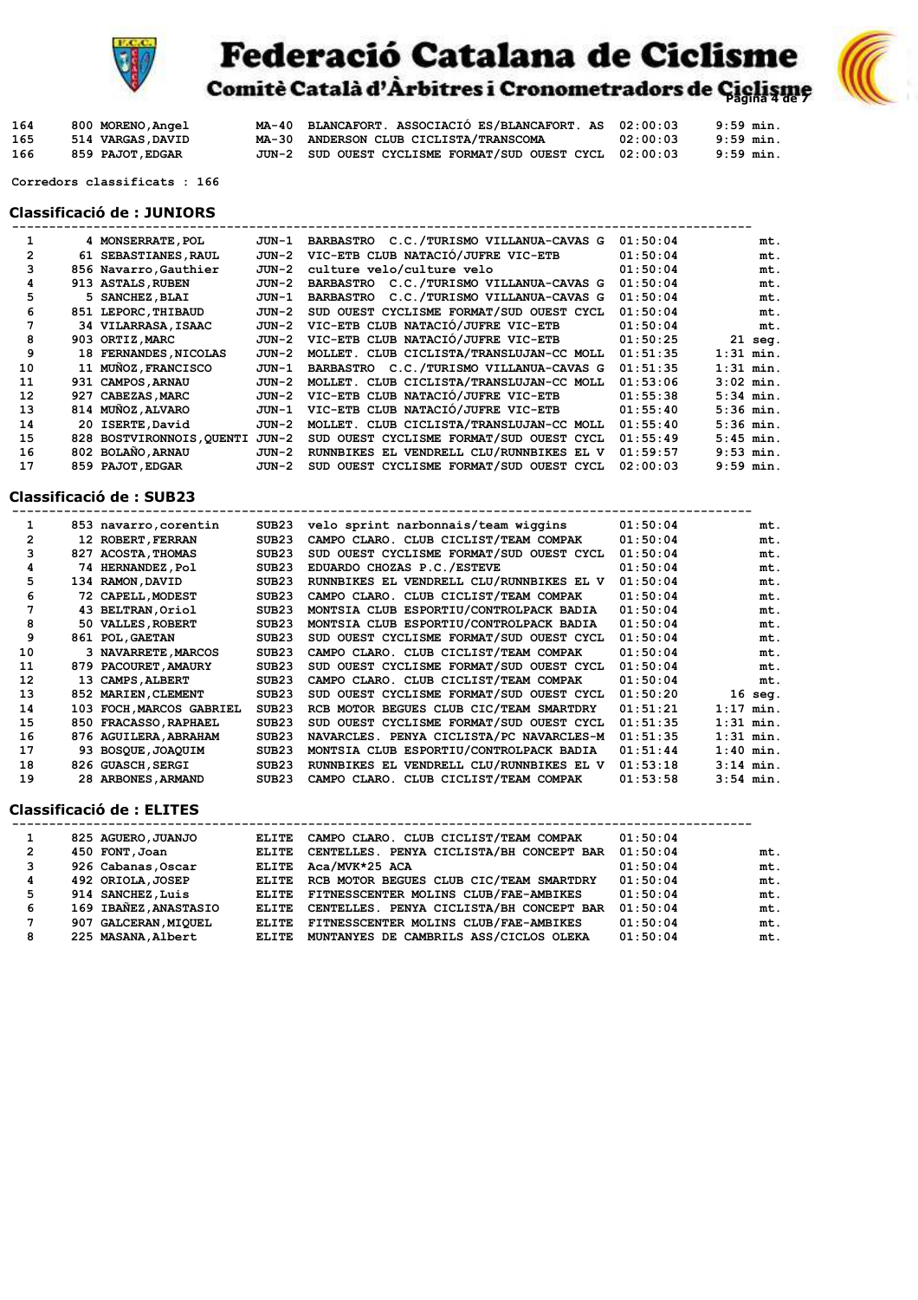

## **Federació Catalana de Ciclisme**<br>Comitè Català d'Àrbitres i Cronometradors de Ciglisme



| 164 | 800 MORENO, Angel | MA-40 BLANCAFORT. ASSOCIACIÓ ES/BLANCAFORT. AS 02:00:03 |          | 9:59 min. |
|-----|-------------------|---------------------------------------------------------|----------|-----------|
| 165 | 514 VARGAS DAVID  | MA-30 ANDERSON CLUB CICLISTA/TRANSCOMA                  | 02:00:03 | 9:59 min. |
| 166 | 859 PAJOT.EDGAR   | JUN-2 SUD OUEST CYCLISME FORMAT/SUD OUEST CYCL 02:00:03 |          | 9:59 min. |

 **Corredors classificats : 166**

#### **Classificació de : JUNIORS**

|    | 4 MONSERRATE, POL         | JUN-1 | BARBASTRO C.C./TURISMO VILLANUA-CAVAS G  | 01:50:04 | mt.         |
|----|---------------------------|-------|------------------------------------------|----------|-------------|
| 2  | 61 SEBASTIANES, RAUL      | JUN-2 | VIC-ETB CLUB NATACIÓ/JUFRE VIC-ETB       | 01:50:04 | mt.         |
|    | 856 Navarro, Gauthier     | JUN-2 | culture velo/culture velo                | 01:50:04 | mt.         |
| 4  | 913 ASTALS, RUBEN         | JUN-2 | BARBASTRO C.C./TURISMO VILLANUA-CAVAS G  | 01:50:04 | mt.         |
|    | 5 SANCHEZ, BLAI           | JUN-1 | BARBASTRO C.C./TURISMO VILLANUA-CAVAS G  | 01:50:04 | mt.         |
| 6  | 851 LEPORC, THIBAUD       | JUN-2 | SUD OUEST CYCLISME FORMAT/SUD OUEST CYCL | 01:50:04 | mt.         |
|    | 34 VILARRASA, ISAAC       | JUN-2 | VIC-ETB CLUB NATACIÓ/JUFRE VIC-ETB       | 01:50:04 | mt.         |
| 8  | 903 ORTIZ.MARC            | JUN-2 | VIC-ETB CLUB NATACIÓ/JUFRE VIC-ETB       | 01:50:25 | $21$ seg.   |
| 9  | 18 FERNANDES, NICOLAS     | JUN-2 | MOLLET. CLUB CICLISTA/TRANSLUJAN-CC MOLL | 01:51:35 | $1:31$ min. |
| 10 | 11 MUÑOZ, FRANCISCO       | JUN-1 | BARBASTRO C.C./TURISMO VILLANUA-CAVAS G  | 01:51:35 | $1:31$ min. |
| 11 | 931 CAMPOS, ARNAU         | JUN-2 | MOLLET. CLUB CICLISTA/TRANSLUJAN-CC MOLL | 01:53:06 | $3:02$ min. |
| 12 | 927 CABEZAS, MARC         | JUN-2 | VIC-ETB CLUB NATACIÓ/JUFRE VIC-ETB       | 01:55:38 | $5:34$ min. |
| 13 | 814 MUÑOZ, ALVARO         | JUN-1 | VIC-ETB CLUB NATACIÓ/JUFRE VIC-ETB       | 01:55:40 | $5:36$ min. |
| 14 | 20 ISERTE, David          | JUN-2 | MOLLET. CLUB CICLISTA/TRANSLUJAN-CC MOLL | 01:55:40 | $5:36$ min. |
| 15 | 828 BOSTVIRONNOIS, QUENTI | JUN-2 | SUD OUEST CYCLISME FORMAT/SUD OUEST CYCL | 01:55:49 | $5:45$ min. |
| 16 | 802 BOLAÑO, ARNAU         | JUN-2 | RUNNBIKES EL VENDRELL CLU/RUNNBIKES EL V | 01:59:57 | $9:53$ min. |
| 17 | 859 PAJOT, EDGAR          | JUN-2 | SUD OUEST CYCLISME FORMAT/SUD OUEST CYCL | 02:00:03 | $9:59$ min. |

#### **Classificació de : SUB23**

|    | 853 navarro, corentin    | SUB23             | velo sprint narbonnais/team wiggins      | 01:50:04 | mt.         |
|----|--------------------------|-------------------|------------------------------------------|----------|-------------|
| 2  | 12 ROBERT, FERRAN        | SUB <sub>23</sub> | CAMPO CLARO. CLUB CICLIST/TEAM COMPAK    | 01:50:04 | mt.         |
|    | 827 ACOSTA, THOMAS       | SUB23             | SUD OUEST CYCLISME FORMAT/SUD OUEST CYCL | 01:50:04 | mt.         |
| 4  | 74 HERNANDEZ, Pol        | SUB23             | EDUARDO CHOZAS P.C./ESTEVE               | 01:50:04 | mt.         |
| 5  | 134 RAMON, DAVID         | SUB23             | RUNNBIKES EL VENDRELL CLU/RUNNBIKES EL V | 01:50:04 | mt.         |
| 6  | 72 CAPELL, MODEST        | SUB23             | CAMPO CLARO. CLUB CICLIST/TEAM COMPAK    | 01:50:04 | mt.         |
|    | 43 BELTRAN, Oriol        | SUB23             | MONTSIA CLUB ESPORTIU/CONTROLPACK BADIA  | 01:50:04 | mt.         |
| 8  | 50 VALLES, ROBERT        | SUB23             | MONTSIA CLUB ESPORTIU/CONTROLPACK BADIA  | 01:50:04 | mt.         |
| 9  | 861 POL, GAETAN          | SUB23             | SUD OUEST CYCLISME FORMAT/SUD OUEST CYCL | 01:50:04 | mt.         |
| 10 | 3 NAVARRETE, MARCOS      | SUB23             | CAMPO CLARO. CLUB CICLIST/TEAM COMPAK    | 01:50:04 | mt.         |
| 11 | 879 PACOURET, AMAURY     | SUB23             | SUD OUEST CYCLISME FORMAT/SUD OUEST CYCL | 01:50:04 | mt.         |
| 12 | 13 CAMPS, ALBERT         | SUB <sub>23</sub> | CAMPO CLARO. CLUB CICLIST/TEAM COMPAK    | 01:50:04 | mt.         |
| 13 | 852 MARIEN, CLEMENT      | SUB <sub>23</sub> | SUD OUEST CYCLISME FORMAT/SUD OUEST CYCL | 01:50:20 | 16<br>seq.  |
| 14 | 103 FOCH, MARCOS GABRIEL | SUB <sub>23</sub> | RCB MOTOR BEGUES CLUB CIC/TEAM SMARTDRY  | 01:51:21 | $1:17$ min. |
| 15 | 850 FRACASSO, RAPHAEL    | SUB <sub>23</sub> | SUD OUEST CYCLISME FORMAT/SUD OUEST CYCL | 01:51:35 | $1:31$ min. |
| 16 | 876 AGUILERA. ABRAHAM    | SUB <sub>23</sub> | NAVARCLES. PENYA CICLISTA/PC NAVARCLES-M | 01:51:35 | $1:31$ min. |
| 17 | 93 BOSQUE, JOAQUIM       | SUB <sub>23</sub> | MONTSIA CLUB ESPORTIU/CONTROLPACK BADIA  | 01:51:44 | $1:40$ min. |
| 18 | 826 GUASCH, SERGI        | SUB <sub>23</sub> | RUNNBIKES EL VENDRELL CLU/RUNNBIKES EL V | 01:53:18 | $3:14$ min. |
| 19 | 28 ARBONES, ARMAND       | SUB23             | CAMPO CLARO. CLUB CICLIST/TEAM COMPAK    | 01:53:58 | $3:54$ min. |

#### **Classificació de : ELITES**

|   | 825 AGUERO, JUANJO    | ELITE        | CAMPO CLARO. CLUB CICLIST/TEAM COMPAK    | 01:50:04 |     |
|---|-----------------------|--------------|------------------------------------------|----------|-----|
| 2 | 450 FONT, Joan        | <b>ELITE</b> | CENTELLES. PENYA CICLISTA/BH CONCEPT BAR | 01:50:04 | mt. |
| 3 | 926 Cabanas, Oscar    | ELITE        | Aca/MVK*25 ACA                           | 01:50:04 | mt. |
| 4 | 492 ORIOLA, JOSEP     | ELITE        | RCB MOTOR BEGUES CLUB CIC/TEAM SMARTDRY  | 01:50:04 | mt. |
| 5 | 914 SANCHEZ, Luis     | <b>ELITE</b> | FITNESSCENTER MOLINS CLUB/FAE-AMBIKES    | 01:50:04 | mt. |
| 6 | 169 IBAÑEZ, ANASTASIO | <b>ELITE</b> | CENTELLES. PENYA CICLISTA/BH CONCEPT BAR | 01:50:04 | mt. |
| 7 | 907 GALCERAN, MIQUEL  | <b>ELITE</b> | FITNESSCENTER MOLINS CLUB/FAE-AMBIKES    | 01:50:04 | mt. |
| 8 | 225 MASANA, Albert    | <b>ELITE</b> | MUNTANYES DE CAMBRILS ASS/CICLOS OLEKA   | 01:50:04 | mt. |
|   |                       |              |                                          |          |     |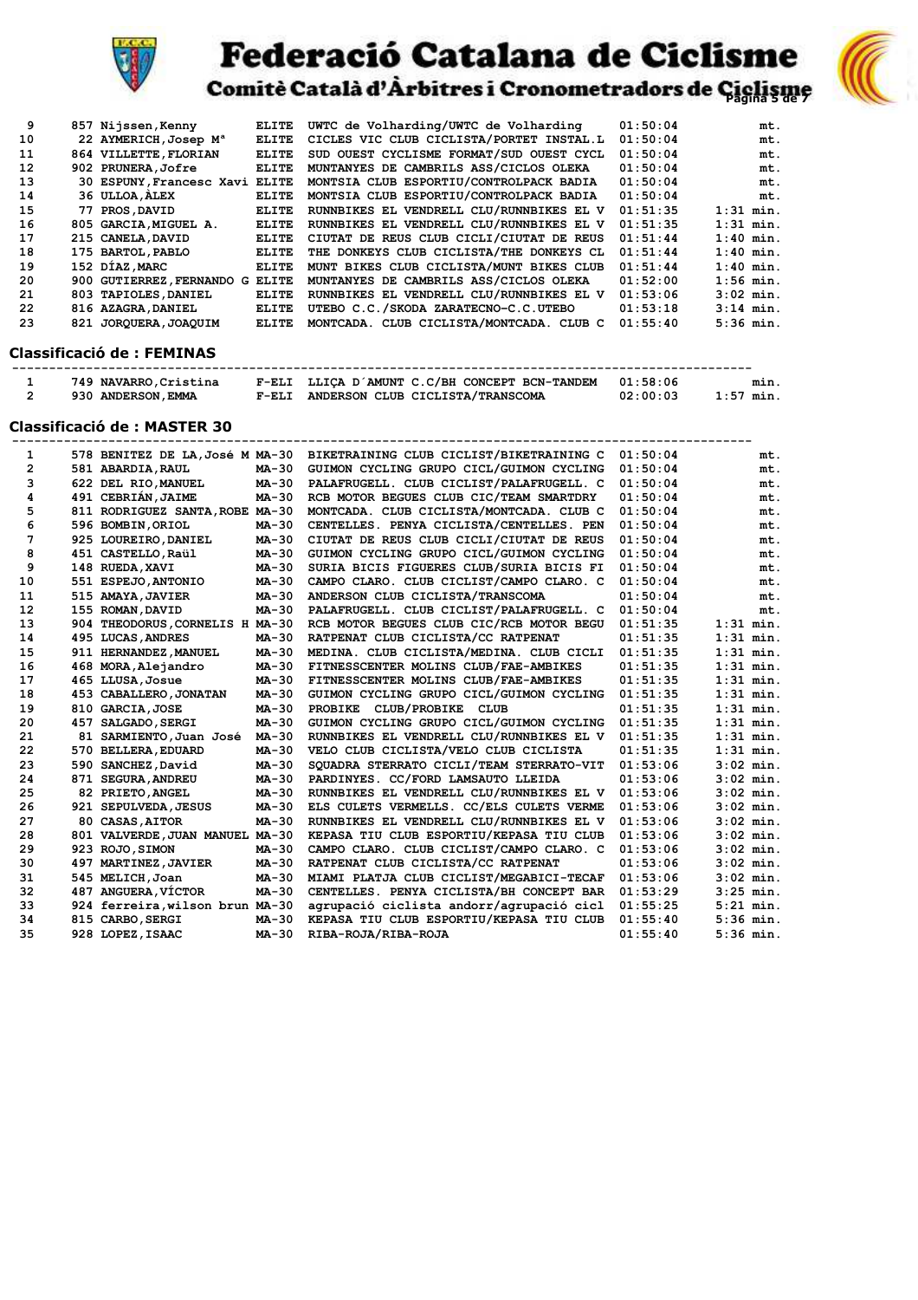

### **Federació Catalana de Ciclisme**



Comitè Català d'Àrbitres i Cronometradors de Ciclisme

| 9  | 857 Nijssen, Kenny                | ELITE        | UWTC de Volharding/UWTC de Volharding    | 01:50:04 | mt.         |
|----|-----------------------------------|--------------|------------------------------------------|----------|-------------|
| 10 | 22 AYMERICH, Josep M <sup>a</sup> | <b>ELITE</b> | CICLES VIC CLUB CICLISTA/PORTET INSTAL.L | 01:50:04 | mt.         |
| 11 | 864 VILLETTE, FLORIAN             | <b>ELITE</b> | SUD OUEST CYCLISME FORMAT/SUD OUEST CYCL | 01:50:04 | mt.         |
| 12 | 902 PRUNERA, Jofre                | <b>ELITE</b> | MUNTANYES DE CAMBRILS ASS/CICLOS OLEKA   | 01:50:04 | mt.         |
| 13 | 30 ESPUNY, Francesc Xavi ELITE    |              | MONTSIA CLUB ESPORTIU/CONTROLPACK BADIA  | 01:50:04 | mt.         |
| 14 | 36 ULLOA, ALEX                    | <b>ELITE</b> | MONTSIA CLUB ESPORTIU/CONTROLPACK BADIA  | 01:50:04 | mt.         |
| 15 | 77 PROS, DAVID                    | <b>ELITE</b> | RUNNBIKES EL VENDRELL CLU/RUNNBIKES EL V | 01:51:35 | $1:31$ min. |
| 16 | 805 GARCIA, MIGUEL A.             | <b>ELITE</b> | RUNNBIKES EL VENDRELL CLU/RUNNBIKES EL V | 01:51:35 | $1:31$ min. |
| 17 | 215 CANELA, DAVID                 | <b>ELITE</b> | CIUTAT DE REUS CLUB CICLI/CIUTAT DE REUS | 01:51:44 | $1:40$ min. |
| 18 | 175 BARTOL, PABLO                 | <b>ELITE</b> | THE DONKEYS CLUB CICLISTA/THE DONKEYS CL | 01:51:44 | $1:40$ min. |
| 19 | 152 DÍAZ, MARC                    | <b>ELITE</b> | MUNT BIKES CLUB CICLISTA/MUNT BIKES CLUB | 01:51:44 | $1:40$ min. |
| 20 | 900 GUTIERREZ, FERNANDO G         | <b>ELITE</b> | MUNTANYES DE CAMBRILS ASS/CICLOS OLEKA   | 01:52:00 | $1:56$ min. |
| 21 | 803 TAPIOLES, DANIEL              | ELITE        | RUNNBIKES EL VENDRELL CLU/RUNNBIKES EL V | 01:53:06 | $3:02$ min. |
| 22 | 816 AZAGRA, DANIEL                | ELITE        | UTEBO C.C./SKODA ZARATECNO-C.C.UTEBO     | 01:53:18 | $3:14$ min. |
| 23 | 821 JOROUERA, JOAOUIM             | <b>ELITE</b> | MONTCADA. CLUB CICLISTA/MONTCADA. CLUB C | 01:55:40 | $5:36$ min. |
|    | .  . <i></i>                      |              |                                          |          |             |

#### **Classificació de : FEMINAS**

| 749 NAVARRO, Cristina |          | F-ELI LLICA D'AMUNT C.C/BH CONCEPT BCN-TANDEM 01:58:06 |          | mın.      |
|-----------------------|----------|--------------------------------------------------------|----------|-----------|
| 930 ANDERSON, EMMA    | $F$ -ELI | ANDERSON CLUB CICLISTA/TRANSCOMA                       | 02:00:03 | 1:57 min. |

#### **Classificació de : MASTER 30**

| $\mathbf{1}$   |                                 |              | 578 BENITEZ DE LA, José M MA-30 BIKETRAINING CLUB CICLIST/BIKETRAINING C | 01:50:04 | mt.         |
|----------------|---------------------------------|--------------|--------------------------------------------------------------------------|----------|-------------|
| $\overline{2}$ | 581 ABARDIA, RAUL               | <b>MA-30</b> | GUIMON CYCLING GRUPO CICL/GUIMON CYCLING                                 | 01:50:04 | mt.         |
| 3              | 622 DEL RIO, MANUEL             | MA-30        | PALAFRUGELL. CLUB CICLIST/PALAFRUGELL. C                                 | 01:50:04 | mt.         |
| 4              | 491 CEBRIÁN, JAIME              | MA-30        | RCB MOTOR BEGUES CLUB CIC/TEAM SMARTDRY                                  | 01:50:04 | mt.         |
| 5              | 811 RODRIGUEZ SANTA, ROBE MA-30 |              | MONTCADA. CLUB CICLISTA/MONTCADA. CLUB C                                 | 01:50:04 | mt.         |
| 6              | 596 BOMBIN, ORIOL               | $MA-30$      | CENTELLES. PENYA CICLISTA/CENTELLES. PEN                                 | 01:50:04 | mt.         |
| 7              | 925 LOUREIRO, DANIEL            | MA-30        | CIUTAT DE REUS CLUB CICLI/CIUTAT DE REUS                                 | 01:50:04 | mt.         |
| 8              | 451 CASTELLO, Raül              | MA-30        | GUIMON CYCLING GRUPO CICL/GUIMON CYCLING                                 | 01:50:04 | mt.         |
| 9              | 148 RUEDA, XAVI                 | MA-30        | SURIA BICIS FIGUERES CLUB/SURIA BICIS FI                                 | 01:50:04 | mt.         |
| 10             | 551 ESPEJO, ANTONIO             | MA-30        | CAMPO CLARO. CLUB CICLIST/CAMPO CLARO. C                                 | 01:50:04 | mt.         |
| 11             | 515 AMAYA, JAVIER               | MA-30        | ANDERSON CLUB CICLISTA/TRANSCOMA                                         | 01:50:04 | mt.         |
| 12             | 155 ROMAN, DAVID                | MA-30        | PALAFRUGELL. CLUB CICLIST/PALAFRUGELL. C                                 | 01:50:04 | mt.         |
| 13             | 904 THEODORUS, CORNELIS H MA-30 |              | RCB MOTOR BEGUES CLUB CIC/RCB MOTOR BEGU                                 | 01:51:35 | $1:31$ min. |
| 14             | 495 LUCAS, ANDRES               | MA-30        | RATPENAT CLUB CICLISTA/CC RATPENAT                                       | 01:51:35 | $1:31$ min. |
| 15             | 911 HERNANDEZ, MANUEL           | MA-30        | MEDINA. CLUB CICLISTA/MEDINA. CLUB CICLI                                 | 01:51:35 | $1:31$ min. |
| 16             | 468 MORA, Alejandro             | MA-30        | FITNESSCENTER MOLINS CLUB/FAE-AMBIKES                                    | 01:51:35 | $1:31$ min. |
| 17             | 465 LLUSA, Josue                | MA-30        | FITNESSCENTER MOLINS CLUB/FAE-AMBIKES                                    | 01:51:35 | $1:31$ min. |
| 18             | 453 CABALLERO, JONATAN          | MA-30        | GUIMON CYCLING GRUPO CICL/GUIMON CYCLING                                 | 01:51:35 | $1:31$ min. |
| 19             | 810 GARCIA, JOSE                | MA-30        | <b>PROBIKE</b><br>CLUB/PROBIKE CLUB                                      | 01:51:35 | $1:31$ min. |
| 20             | 457 SALGADO, SERGI              | MA-30        | GUIMON CYCLING GRUPO CICL/GUIMON CYCLING                                 | 01:51:35 | $1:31$ min. |
| 21             | 81 SARMIENTO.Juan José          | MA-30        | RUNNBIKES EL VENDRELL CLU/RUNNBIKES EL V                                 | 01:51:35 | $1:31$ min. |
| 22             | 570 BELLERA, EDUARD             | MA-30        | VELO CLUB CICLISTA/VELO CLUB CICLISTA                                    | 01:51:35 | $1:31$ min. |
| 23             | 590 SANCHEZ, David              | MA-30        | SQUADRA STERRATO CICLI/TEAM STERRATO-VIT                                 | 01:53:06 | $3:02$ min. |
| 24             | 871 SEGURA, ANDREU              | $MA-30$      | PARDINYES. CC/FORD LAMSAUTO LLEIDA                                       | 01:53:06 | $3:02$ min. |
| 25             | 82 PRIETO, ANGEL                | MA-30        | RUNNBIKES EL VENDRELL CLU/RUNNBIKES EL V                                 | 01:53:06 | $3:02$ min. |
| 26             | 921 SEPULVEDA, JESUS            | MA-30        | ELS CULETS VERMELLS. CC/ELS CULETS VERME                                 | 01:53:06 | $3:02$ min. |
| 27             | 80 CASAS, AITOR                 | MA-30        | RUNNBIKES EL VENDRELL CLU/RUNNBIKES EL V                                 | 01:53:06 | $3:02$ min. |
| 28             | 801 VALVERDE, JUAN MANUEL MA-30 |              | KEPASA TIU CLUB ESPORTIU/KEPASA TIU CLUB                                 | 01:53:06 | $3:02$ min. |
| 29             | 923 ROJO, SIMON                 | MA-30        | CAMPO CLARO. CLUB CICLIST/CAMPO CLARO. C                                 | 01:53:06 | $3:02$ min. |
| 30             | 497 MARTINEZ, JAVIER            | MA-30        | RATPENAT CLUB CICLISTA/CC RATPENAT                                       | 01:53:06 | $3:02$ min. |
| 31             | 545 MELICH, Joan                | MA-30        | MIAMI PLATJA CLUB CICLIST/MEGABICI-TECAF                                 | 01:53:06 | $3:02$ min. |
| 32             | 487 ANGUERA, VÍCTOR             | MA-30        | CENTELLES. PENYA CICLISTA/BH CONCEPT BAR                                 | 01:53:29 | $3:25$ min. |
| 33             | 924 ferreira, wilson brun MA-30 |              | agrupació ciclista andorr/agrupació cicl                                 | 01:55:25 | $5:21$ min. |
| 34             | 815 CARBO, SERGI                | $MA-30$      | KEPASA TIU CLUB ESPORTIU/KEPASA TIU CLUB                                 | 01:55:40 | $5:36$ min. |
| 35             | 928 LOPEZ, ISAAC                | MA-30        | RIBA-ROJA/RIBA-ROJA                                                      | 01:55:40 | $5:36$ min. |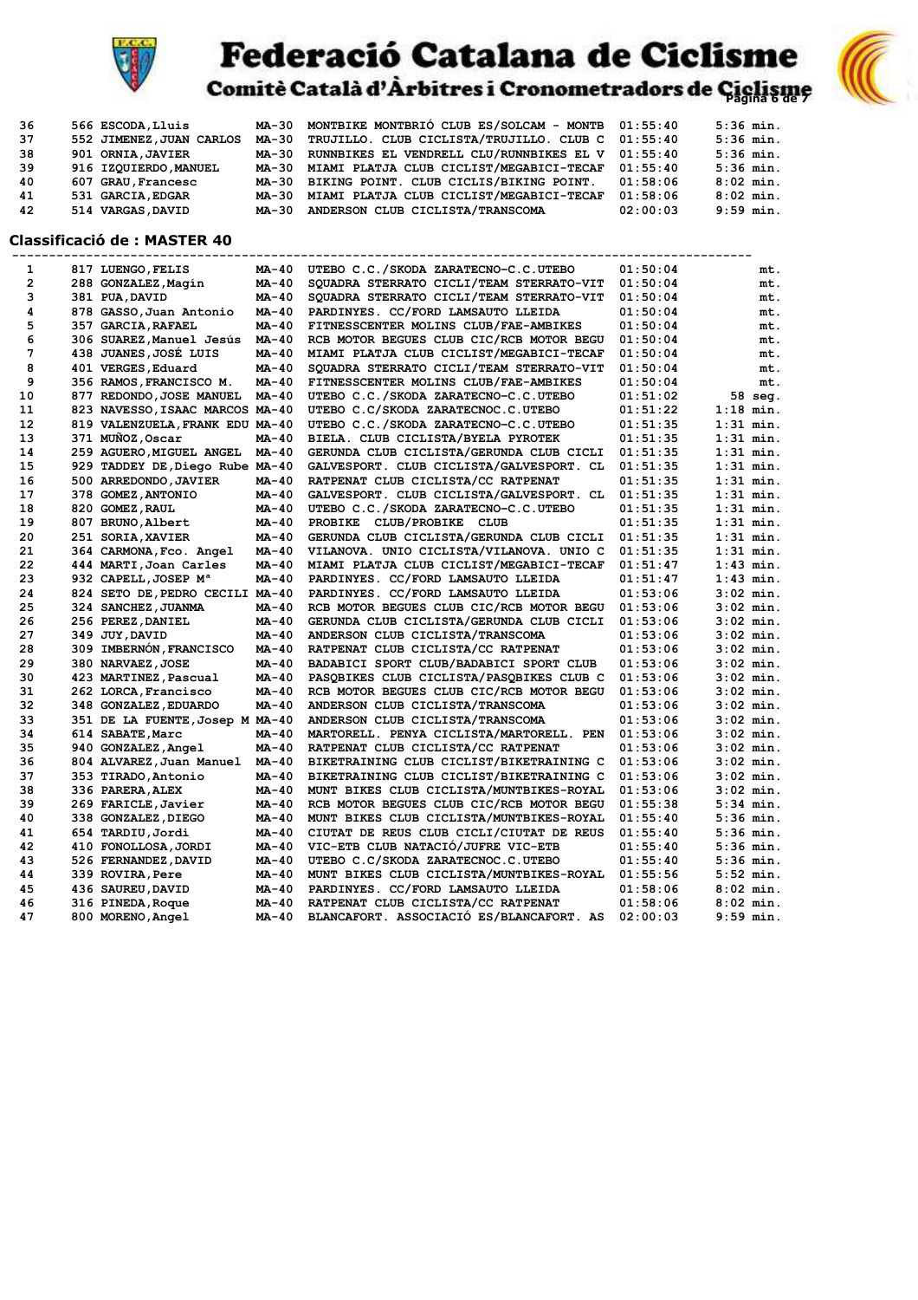

# **Federació Catalana de Ciclisme**<br>Comitè Català d'Àrbitres i Cronometradors de Giglisme



| 36 | 566 ESCODA, Lluis        | MA-30 | MONTBIKE MONTBRIÓ CLUB ES/SOLCAM - MONTB 01:55:40 |          | $5:36$ min. |
|----|--------------------------|-------|---------------------------------------------------|----------|-------------|
| 37 | 552 JIMENEZ, JUAN CARLOS | MA-30 | TRUJILLO. CLUB CICLISTA/TRUJILLO. CLUB C 01:55:40 |          | $5:36$ min. |
| 38 | 901 ORNIA, JAVIER        | MA-30 | RUNNBIKES EL VENDRELL CLU/RUNNBIKES EL V 01:55:40 |          | $5:36$ min. |
| 39 | 916 IZOUIERDO, MANUEL    | ма-30 | MIAMI PLATJA CLUB CICLIST/MEGABICI-TECAF          | 01:55:40 | $5:36$ min. |
| 40 | 607 GRAU, Francesc       | MA-30 | BIKING POINT. CLUB CICLIS/BIKING POINT.           | 01:58:06 | $8:02$ min. |
| 41 | 531 GARCIA, EDGAR        | MA-30 | MIAMI PLATJA CLUB CICLIST/MEGABICI-TECAF          | 01:58:06 | $8:02$ min. |
| 42 | 514 VARGAS, DAVID        | MA-30 | ANDERSON CLUB CICLISTA/TRANSCOMA                  | 02:00:03 | $9:59$ min. |

#### **Classificació de : MASTER 40**

| 1              | 817 LUENGO, FELIS                | MA-40        | UTEBO C.C./SKODA ZARATECNO-C.C.UTEBO          | 01:50:04 | mt.         |
|----------------|----------------------------------|--------------|-----------------------------------------------|----------|-------------|
| $\overline{2}$ | 288 GONZALEZ, Magín              | MA-40        | SQUADRA STERRATO CICLI/TEAM STERRATO-VIT      | 01:50:04 | mt.         |
| з              | 381 PUA, DAVID                   | MA-40        | SQUADRA STERRATO CICLI/TEAM STERRATO-VIT      | 01:50:04 | mt.         |
| 4              | 878 GASSO, Juan Antonio          | <b>MA-40</b> | PARDINYES. CC/FORD LAMSAUTO LLEIDA            | 01:50:04 | mt.         |
| 5              | 357 GARCIA,RAFAEL                | MA-40        | FITNESSCENTER MOLINS CLUB/FAE-AMBIKES         | 01:50:04 | mt.         |
| 6              | 306 SUAREZ, Manuel Jesús         | MA-40        | RCB MOTOR BEGUES CLUB CIC/RCB MOTOR BEGU      | 01:50:04 | mt.         |
| 7              | 438 JUANES, JOSÉ LUIS            | MA-40        | MIAMI PLATJA CLUB CICLIST/MEGABICI-TECAF      | 01:50:04 | mt.         |
| 8              | 401 VERGES, Eduard               | MA-40        | SQUADRA STERRATO CICLI/TEAM STERRATO-VIT      | 01:50:04 | mt.         |
| 9              | 356 RAMOS, FRANCISCO M.          | MA-40        | FITNESSCENTER MOLINS CLUB/FAE-AMBIKES         | 01:50:04 | mt.         |
| 10             | 877 REDONDO, JOSE MANUEL         | MA-40        | UTEBO C.C./SKODA ZARATECNO-C.C.UTEBO          | 01:51:02 | 58 seg.     |
| 11             | 823 NAVESSO, ISAAC MARCOS MA-40  |              | UTEBO C.C/SKODA ZARATECNOC.C.UTEBO            | 01:51:22 | $1:18$ min. |
| 12             | 819 VALENZUELA, FRANK EDU MA-40  |              | UTEBO C.C./SKODA ZARATECNO-C.C.UTEBO          | 01:51:35 | $1:31$ min. |
| 13             | 371 MUÑOZ, Oscar                 | MA-40        | BIELA. CLUB CICLISTA/BYELA PYROTEK            | 01:51:35 | $1:31$ min. |
| 14             | 259 AGUERO, MIGUEL ANGEL         | MA-40        | GERUNDA CLUB CICLISTA/GERUNDA CLUB CICLI      | 01:51:35 | $1:31$ min. |
| 15             | 929 TADDEY DE, Diego Rube MA-40  |              | GALVESPORT. CLUB CICLISTA/GALVESPORT. CL      | 01:51:35 | $1:31$ min. |
| 16             | 500 ARREDONDO, JAVIER            | MA-40        | RATPENAT CLUB CICLISTA/CC RATPENAT            | 01:51:35 | $1:31$ min. |
| 17             | 378 GOMEZ, ANTONIO               | MA-40        | GALVESPORT. CLUB CICLISTA/GALVESPORT. CL      | 01:51:35 | $1:31$ min. |
| 18             | 820 GOMEZ, RAUL                  | MA-40        | UTEBO C.C./SKODA ZARATECNO-C.C.UTEBO          | 01:51:35 | $1:31$ min. |
| 19             | 807 BRUNO, Albert                | MA-40        | <b>CLUB/PROBIKE</b><br><b>PROBIKE</b><br>CLUB | 01:51:35 | $1:31$ min. |
| 20             | 251 SORIA, XAVIER                | MA-40        | GERUNDA CLUB CICLISTA/GERUNDA CLUB CICLI      | 01:51:35 | $1:31$ min. |
| 21             | 364 CARMONA, Fco. Angel          | MA-40        | VILANOVA. UNIO CICLISTA/VILANOVA. UNIO C      | 01:51:35 | $1:31$ min. |
| 22             | 444 MARTI, Joan Carles           | MA-40        | MIAMI PLATJA CLUB CICLIST/MEGABICI-TECAF      | 01:51:47 | $1:43$ min. |
| 23             | 932 CAPELL, JOSEP M <sup>a</sup> | MA-40        | PARDINYES. CC/FORD LAMSAUTO LLEIDA            | 01:51:47 | $1:43$ min. |
| 24             | 824 SETO DE, PEDRO CECILI MA-40  |              | PARDINYES. CC/FORD LAMSAUTO LLEIDA            | 01:53:06 | $3:02$ min. |
| 25             | 324 SANCHEZ, JUANMA              | MA-40        | RCB MOTOR BEGUES CLUB CIC/RCB MOTOR BEGU      | 01:53:06 | $3:02$ min. |
| 26             | 256 PEREZ, DANIEL                | MA-40        | GERUNDA CLUB CICLISTA/GERUNDA CLUB CICLI      | 01:53:06 | $3:02$ min. |
| 27             | 349 JUY, DAVID                   | MA-40        | ANDERSON CLUB CICLISTA/TRANSCOMA              | 01:53:06 | $3:02$ min. |
| 28             | 309 IMBERNÓN, FRANCISCO          | MA-40        | RATPENAT CLUB CICLISTA/CC RATPENAT            | 01:53:06 | $3:02$ min. |
| 29             | 380 NARVAEZ, JOSE                | MA-40        | BADABICI SPORT CLUB/BADABICI SPORT CLUB       | 01:53:06 | $3:02$ min. |
| 30             | 423 MARTINEZ, Pascual            | MA-40        | PASOBIKES CLUB CICLISTA/PASOBIKES CLUB C      | 01:53:06 | $3:02$ min. |
| 31             | 262 LORCA, Francisco             | MA-40        | RCB MOTOR BEGUES CLUB CIC/RCB MOTOR BEGU      | 01:53:06 | $3:02$ min. |
| 32             | 348 GONZALEZ, EDUARDO            | MA-40        | ANDERSON CLUB CICLISTA/TRANSCOMA              | 01:53:06 | $3:02$ min. |
| 33             | 351 DE LA FUENTE, Josep M MA-40  |              | ANDERSON CLUB CICLISTA/TRANSCOMA              | 01:53:06 | $3:02$ min. |
| 34             | 614 SABATE, Marc                 | MA-40        | MARTORELL, PENYA CICLISTA/MARTORELL, PEN      | 01:53:06 | $3:02$ min. |
| 35             | 940 GONZALEZ, Angel              | MA-40        | RATPENAT CLUB CICLISTA/CC RATPENAT            | 01:53:06 | $3:02$ min. |
| 36             | 804 ALVAREZ, Juan Manuel         | MA-40        | BIKETRAINING CLUB CICLIST/BIKETRAINING C      | 01:53:06 | $3:02$ min. |
| 37             | 353 TIRADO, Antonio              | MA-40        | BIKETRAINING CLUB CICLIST/BIKETRAINING C      | 01:53:06 | $3:02$ min. |
| 38             | 336 PARERA, ALEX                 | MA-40        | MUNT BIKES CLUB CICLISTA/MUNTBIKES-ROYAL      | 01:53:06 | $3:02$ min. |
| 39             | 269 FARICLE, Javier              | MA-40        | RCB MOTOR BEGUES CLUB CIC/RCB MOTOR BEGU      | 01:55:38 | $5:34$ min. |
| 40             | 338 GONZALEZ, DIEGO              | MA-40        | MUNT BIKES CLUB CICLISTA/MUNTBIKES-ROYAL      | 01:55:40 | $5:36$ min. |
| 41             | 654 TARDIU, Jordi                | MA-40        | CIUTAT DE REUS CLUB CICLI/CIUTAT DE REUS      | 01:55:40 | $5:36$ min. |
| 42             | 410 FONOLLOSA, JORDI             | MA-40        | VIC-ETB CLUB NATACIÓ/JUFRE VIC-ETB            | 01:55:40 | $5:36$ min. |
| 43             | 526 FERNANDEZ, DAVID             | MA-40        | UTEBO C.C/SKODA ZARATECNOC.C.UTEBO            | 01:55:40 | $5:36$ min. |
| 44             | 339 ROVIRA, Pere                 | MA-40        | MUNT BIKES CLUB CICLISTA/MUNTBIKES-ROYAL      | 01:55:56 | $5:52$ min. |
| 45             | 436 SAUREU, DAVID                | MA-40        | PARDINYES. CC/FORD LAMSAUTO LLEIDA            | 01:58:06 | $8:02$ min. |
| 46             | 316 PINEDA, Roque                | MA-40        | RATPENAT CLUB CICLISTA/CC RATPENAT            | 01:58:06 | $8:02$ min. |
| 47             | 800 MORENO, Angel                | MA-40        | BLANCAFORT. ASSOCIACIÓ ES/BLANCAFORT. AS      | 02:00:03 | $9:59$ min. |
|                |                                  |              |                                               |          |             |